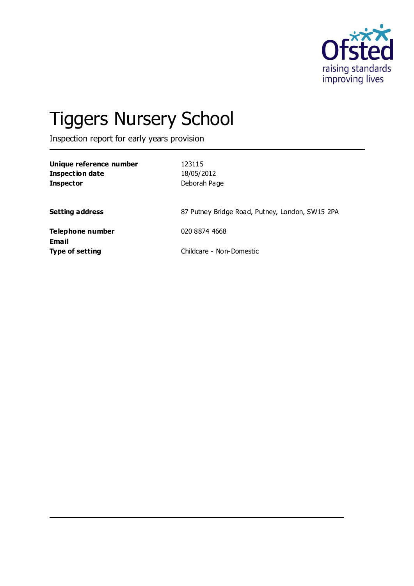

# Tiggers Nursery School

Inspection report for early years provision

| Unique reference number<br><b>Inspection date</b><br><b>Inspector</b> | 123115<br>18/05/2012<br>Deborah Page            |
|-----------------------------------------------------------------------|-------------------------------------------------|
| <b>Setting address</b>                                                | 87 Putney Bridge Road, Putney, London, SW15 2PA |
| Telephone number<br>Email                                             | 020 8874 4668                                   |
| <b>Type of setting</b>                                                | Childcare - Non-Domestic                        |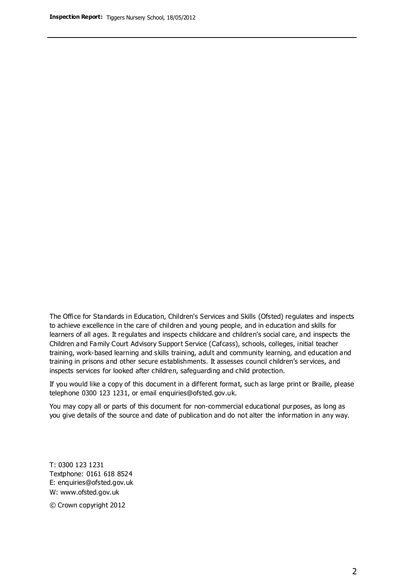The Office for Standards in Education, Children's Services and Skills (Ofsted) regulates and inspects to achieve excellence in the care of children and young people, and in education and skills for learners of all ages. It regulates and inspects childcare and children's social care, and inspects the Children and Family Court Advisory Support Service (Cafcass), schools, colleges, initial teacher training, work-based learning and skills training, adult and community learning, and education and training in prisons and other secure establishments. It assesses council children's services, and inspects services for looked after children, safeguarding and child protection.

If you would like a copy of this document in a different format, such as large print or Braille, please telephone 0300 123 1231, or email enquiries@ofsted.gov.uk.

You may copy all or parts of this document for non-commercial educational purposes, as long as you give details of the source and date of publication and do not alter the information in any way.

T: 0300 123 1231 Textphone: 0161 618 8524 E: enquiries@ofsted.gov.uk W: [www.ofsted.gov.uk](http://www.ofsted.gov.uk/)

© Crown copyright 2012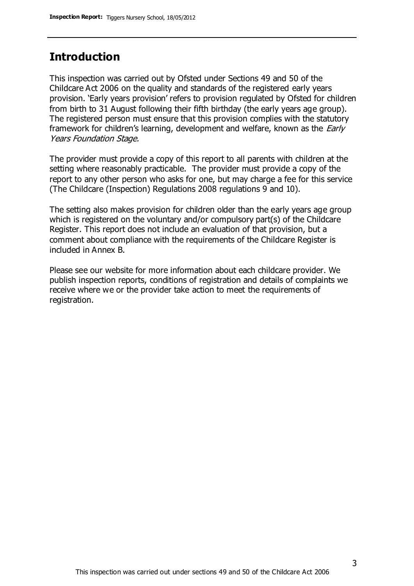## **Introduction**

This inspection was carried out by Ofsted under Sections 49 and 50 of the Childcare Act 2006 on the quality and standards of the registered early years provision. 'Early years provision' refers to provision regulated by Ofsted for children from birth to 31 August following their fifth birthday (the early years age group). The registered person must ensure that this provision complies with the statutory framework for children's learning, development and welfare, known as the *Early* Years Foundation Stage.

The provider must provide a copy of this report to all parents with children at the setting where reasonably practicable. The provider must provide a copy of the report to any other person who asks for one, but may charge a fee for this service (The Childcare (Inspection) Regulations 2008 regulations 9 and 10).

The setting also makes provision for children older than the early years age group which is registered on the voluntary and/or compulsory part(s) of the Childcare Register. This report does not include an evaluation of that provision, but a comment about compliance with the requirements of the Childcare Register is included in Annex B.

Please see our website for more information about each childcare provider. We publish inspection reports, conditions of registration and details of complaints we receive where we or the provider take action to meet the requirements of registration.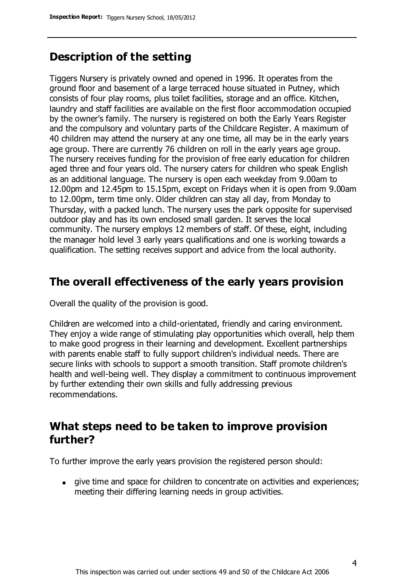# **Description of the setting**

Tiggers Nursery is privately owned and opened in 1996. It operates from the ground floor and basement of a large terraced house situated in Putney, which consists of four play rooms, plus toilet facilities, storage and an office. Kitchen, laundry and staff facilities are available on the first floor accommodation occupied by the owner's family. The nursery is registered on both the Early Years Register and the compulsory and voluntary parts of the Childcare Register. A maximum of 40 children may attend the nursery at any one time, all may be in the early years age group. There are currently 76 children on roll in the early years age group. The nursery receives funding for the provision of free early education for children aged three and four years old. The nursery caters for children who speak English as an additional language. The nursery is open each weekday from 9.00am to 12.00pm and 12.45pm to 15.15pm, except on Fridays when it is open from 9.00am to 12.00pm, term time only. Older children can stay all day, from Monday to Thursday, with a packed lunch. The nursery uses the park opposite for supervised outdoor play and has its own enclosed small garden. It serves the local community. The nursery employs 12 members of staff. Of these, eight, including the manager hold level 3 early years qualifications and one is working towards a qualification. The setting receives support and advice from the local authority.

## **The overall effectiveness of the early years provision**

Overall the quality of the provision is good.

Children are welcomed into a child-orientated, friendly and caring environment. They enjoy a wide range of stimulating play opportunities which overall, help them to make good progress in their learning and development. Excellent partnerships with parents enable staff to fully support children's individual needs. There are secure links with schools to support a smooth transition. Staff promote children's health and well-being well. They display a commitment to continuous improvement by further extending their own skills and fully addressing previous recommendations.

# **What steps need to be taken to improve provision further?**

To further improve the early years provision the registered person should:

give time and space for children to concentrate on activities and experiences; meeting their differing learning needs in group activities.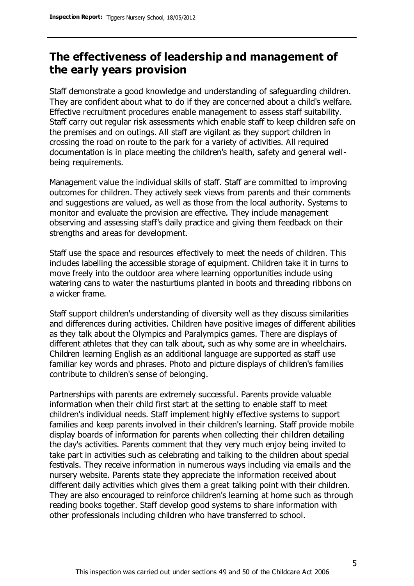# **The effectiveness of leadership and management of the early years provision**

Staff demonstrate a good knowledge and understanding of safeguarding children. They are confident about what to do if they are concerned about a child's welfare. Effective recruitment procedures enable management to assess staff suitability. Staff carry out regular risk assessments which enable staff to keep children safe on the premises and on outings. All staff are vigilant as they support children in crossing the road on route to the park for a variety of activities. All required documentation is in place meeting the children's health, safety and general wellbeing requirements.

Management value the individual skills of staff. Staff are committed to improving outcomes for children. They actively seek views from parents and their comments and suggestions are valued, as well as those from the local authority. Systems to monitor and evaluate the provision are effective. They include management observing and assessing staff's daily practice and giving them feedback on their strengths and areas for development.

Staff use the space and resources effectively to meet the needs of children. This includes labelling the accessible storage of equipment. Children take it in turns to move freely into the outdoor area where learning opportunities include using watering cans to water the nasturtiums planted in boots and threading ribbons on a wicker frame.

Staff support children's understanding of diversity well as they discuss similarities and differences during activities. Children have positive images of different abilities as they talk about the Olympics and Paralympics games. There are displays of different athletes that they can talk about, such as why some are in wheelchairs. Children learning English as an additional language are supported as staff use familiar key words and phrases. Photo and picture displays of children's families contribute to children's sense of belonging.

Partnerships with parents are extremely successful. Parents provide valuable information when their child first start at the setting to enable staff to meet children's individual needs. Staff implement highly effective systems to support families and keep parents involved in their children's learning. Staff provide mobile display boards of information for parents when collecting their children detailing the day's activities. Parents comment that they very much enjoy being invited to take part in activities such as celebrating and talking to the children about special festivals. They receive information in numerous ways including via emails and the nursery website. Parents state they appreciate the information received about different daily activities which gives them a great talking point with their children. They are also encouraged to reinforce children's learning at home such as through reading books together. Staff develop good systems to share information with other professionals including children who have transferred to school.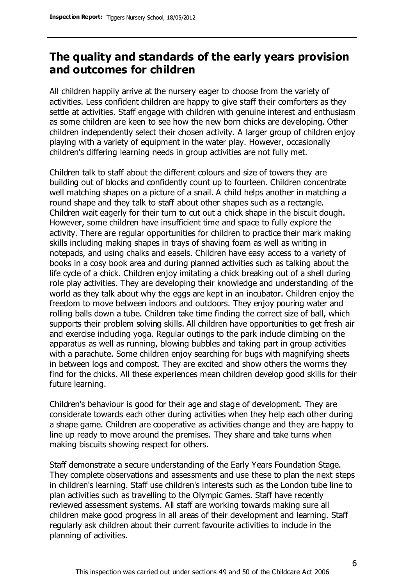# **The quality and standards of the early years provision and outcomes for children**

All children happily arrive at the nursery eager to choose from the variety of activities. Less confident children are happy to give staff their comforters as they settle at activities. Staff engage with children with genuine interest and enthusiasm as some children are keen to see how the new born chicks are developing. Other children independently select their chosen activity. A larger group of children enjoy playing with a variety of equipment in the water play. However, occasionally children's differing learning needs in group activities are not fully met.

Children talk to staff about the different colours and size of towers they are building out of blocks and confidently count up to fourteen. Children concentrate well matching shapes on a picture of a snail. A child helps another in matching a round shape and they talk to staff about other shapes such as a rectangle. Children wait eagerly for their turn to cut out a chick shape in the biscuit dough. However, some children have insufficient time and space to fully explore the activity. There are regular opportunities for children to practice their mark making skills including making shapes in trays of shaving foam as well as writing in notepads, and using chalks and easels. Children have easy access to a variety of books in a cosy book area and during planned activities such as talking about the life cycle of a chick. Children enjoy imitating a chick breaking out of a shell during role play activities. They are developing their knowledge and understanding of the world as they talk about why the eggs are kept in an incubator. Children enjoy the freedom to move between indoors and outdoors. They enjoy pouring water and rolling balls down a tube. Children take time finding the correct size of ball, which supports their problem solving skills. All children have opportunities to get fresh air and exercise including yoga. Regular outings to the park include climbing on the apparatus as well as running, blowing bubbles and taking part in group activities with a parachute. Some children enjoy searching for bugs with magnifying sheets in between logs and compost. They are excited and show others the worms they find for the chicks. All these experiences mean children develop good skills for their future learning.

Children's behaviour is good for their age and stage of development. They are considerate towards each other during activities when they help each other during a shape game. Children are cooperative as activities change and they are happy to line up ready to move around the premises. They share and take turns when making biscuits showing respect for others.

Staff demonstrate a secure understanding of the Early Years Foundation Stage. They complete observations and assessments and use these to plan the next steps in children's learning. Staff use children's interests such as the London tube line to plan activities such as travelling to the Olympic Games. Staff have recently reviewed assessment systems. All staff are working towards making sure all children make good progress in all areas of their development and learning. Staff regularly ask children about their current favourite activities to include in the planning of activities.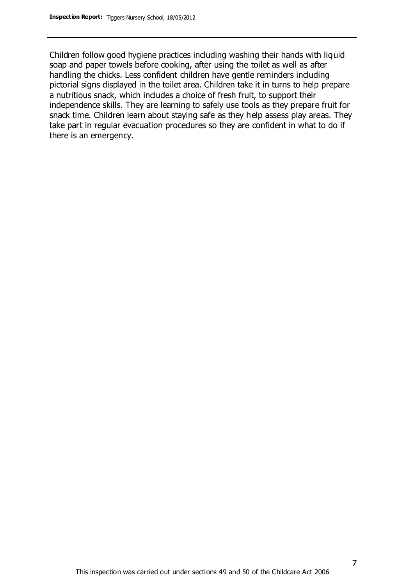Children follow good hygiene practices including washing their hands with liquid soap and paper towels before cooking, after using the toilet as well as after handling the chicks. Less confident children have gentle reminders including pictorial signs displayed in the toilet area. Children take it in turns to help prepare a nutritious snack, which includes a choice of fresh fruit, to support their independence skills. They are learning to safely use tools as they prepare fruit for snack time. Children learn about staying safe as they help assess play areas. They take part in regular evacuation procedures so they are confident in what to do if there is an emergency.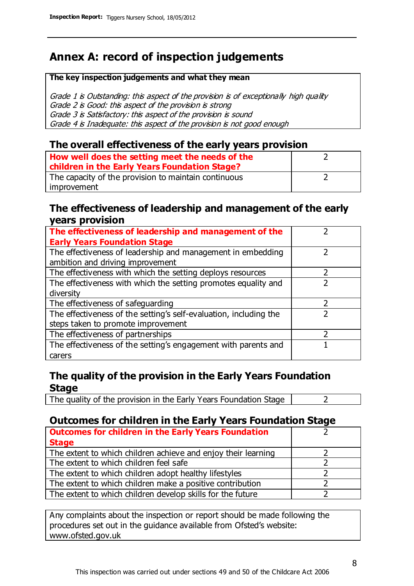# **Annex A: record of inspection judgements**

#### **The key inspection judgements and what they mean**

Grade 1 is Outstanding: this aspect of the provision is of exceptionally high quality Grade 2 is Good: this aspect of the provision is strong Grade 3 is Satisfactory: this aspect of the provision is sound Grade 4 is Inadequate: this aspect of the provision is not good enough

### **The overall effectiveness of the early years provision**

| How well does the setting meet the needs of the      |  |
|------------------------------------------------------|--|
| children in the Early Years Foundation Stage?        |  |
| The capacity of the provision to maintain continuous |  |
| improvement                                          |  |

### **The effectiveness of leadership and management of the early years provision**

| The effectiveness of leadership and management of the             |  |
|-------------------------------------------------------------------|--|
| <b>Early Years Foundation Stage</b>                               |  |
| The effectiveness of leadership and management in embedding       |  |
| ambition and driving improvement                                  |  |
| The effectiveness with which the setting deploys resources        |  |
| The effectiveness with which the setting promotes equality and    |  |
| diversity                                                         |  |
| The effectiveness of safeguarding                                 |  |
| The effectiveness of the setting's self-evaluation, including the |  |
| steps taken to promote improvement                                |  |
| The effectiveness of partnerships                                 |  |
| The effectiveness of the setting's engagement with parents and    |  |
| carers                                                            |  |

## **The quality of the provision in the Early Years Foundation Stage**

The quality of the provision in the Early Years Foundation Stage  $\vert$  2

## **Outcomes for children in the Early Years Foundation Stage**

| <b>Outcomes for children in the Early Years Foundation</b>    |  |
|---------------------------------------------------------------|--|
| <b>Stage</b>                                                  |  |
| The extent to which children achieve and enjoy their learning |  |
| The extent to which children feel safe                        |  |
| The extent to which children adopt healthy lifestyles         |  |
| The extent to which children make a positive contribution     |  |
| The extent to which children develop skills for the future    |  |

Any complaints about the inspection or report should be made following the procedures set out in the guidance available from Ofsted's website: www.ofsted.gov.uk